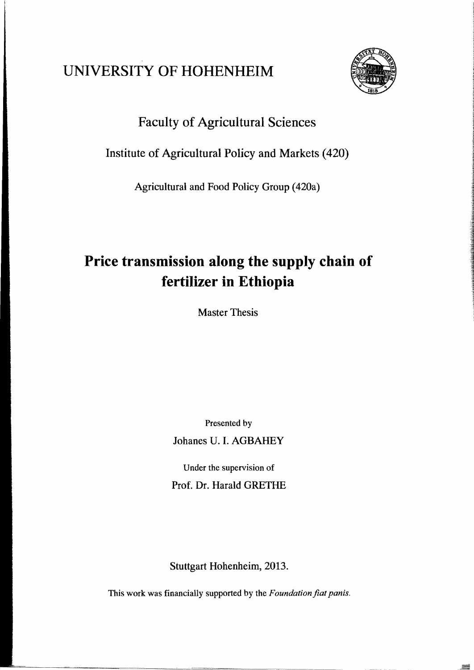# UNIVERSITY OF HOHENHEIM



## Faculty of Agricultural Sciences

### Institute of Agrieultural Poliey and Markets (420)

Agricultural and Food Policy Group (420a)

# **Price transmission along the supply chain of fertilizer in Ethiopia**

Master Thesis

Presented by Johanes *V.I.* AGBAHEY

Under the supervision of Prof. Dr. Harald GRETHE

Stuttgart Hohenheim, 2013.

This work was financially supported by the *Foundation fiat panis*.